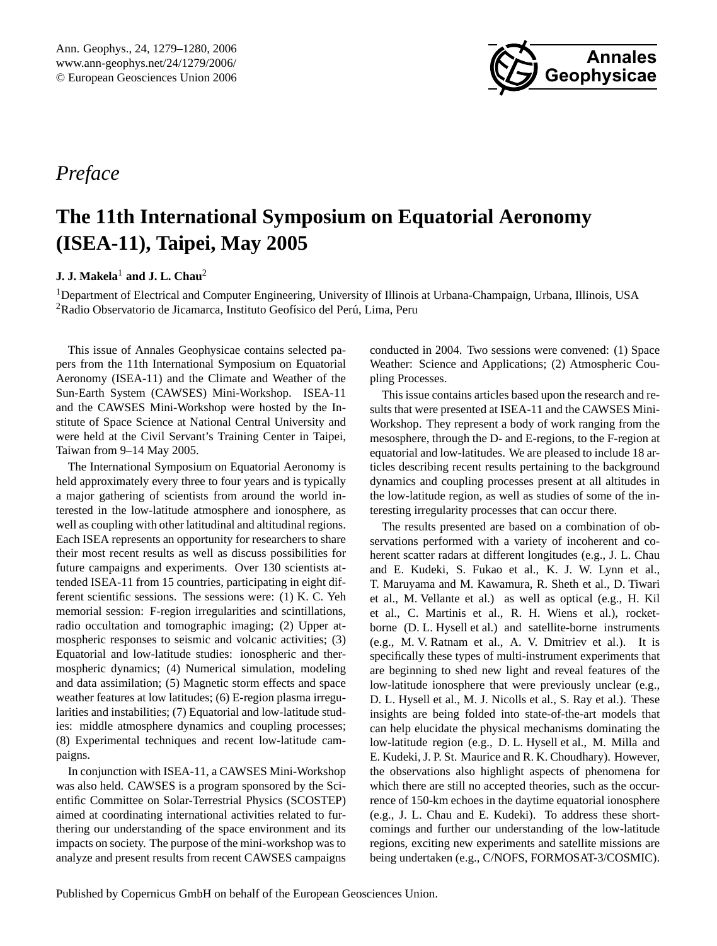

<span id="page-0-0"></span>*Preface*

## **The 11th International Symposium on Equatorial Aeronomy (ISEA-11), Taipei, May 2005**

## **J. J. Makela**<sup>1</sup> **and J. L. Chau**<sup>2</sup>

<sup>1</sup>Department of Electrical and Computer Engineering, University of Illinois at Urbana-Champaign, Urbana, Illinois, USA  $2R$ adio Observatorio de Jicamarca, Instituto Geofísico del Perú, Lima, Peru

This issue of Annales Geophysicae contains selected papers from the 11th International Symposium on Equatorial Aeronomy (ISEA-11) and the Climate and Weather of the Sun-Earth System (CAWSES) Mini-Workshop. ISEA-11 and the CAWSES Mini-Workshop were hosted by the Institute of Space Science at National Central University and were held at the Civil Servant's Training Center in Taipei, Taiwan from 9–14 May 2005.

The International Symposium on Equatorial Aeronomy is held approximately every three to four years and is typically a major gathering of scientists from around the world interested in the low-latitude atmosphere and ionosphere, as well as coupling with other latitudinal and altitudinal regions. Each ISEA represents an opportunity for researchers to share their most recent results as well as discuss possibilities for future campaigns and experiments. Over 130 scientists attended ISEA-11 from 15 countries, participating in eight different scientific sessions. The sessions were: (1) K. C. Yeh memorial session: F-region irregularities and scintillations, radio occultation and tomographic imaging; (2) Upper atmospheric responses to seismic and volcanic activities; (3) Equatorial and low-latitude studies: ionospheric and thermospheric dynamics; (4) Numerical simulation, modeling and data assimilation; (5) Magnetic storm effects and space weather features at low latitudes; (6) E-region plasma irregularities and instabilities; (7) Equatorial and low-latitude studies: middle atmosphere dynamics and coupling processes; (8) Experimental techniques and recent low-latitude campaigns.

In conjunction with ISEA-11, a CAWSES Mini-Workshop was also held. CAWSES is a program sponsored by the Scientific Committee on Solar-Terrestrial Physics (SCOSTEP) aimed at coordinating international activities related to furthering our understanding of the space environment and its impacts on society. The purpose of the mini-workshop was to analyze and present results from recent CAWSES campaigns conducted in 2004. Two sessions were convened: (1) Space Weather: Science and Applications; (2) Atmospheric Coupling Processes.

This issue contains articles based upon the research and results that were presented at ISEA-11 and the CAWSES Mini-Workshop. They represent a body of work ranging from the mesosphere, through the D- and E-regions, to the F-region at equatorial and low-latitudes. We are pleased to include 18 articles describing recent results pertaining to the background dynamics and coupling processes present at all altitudes in the low-latitude region, as well as studies of some of the interesting irregularity processes that can occur there.

The results presented are based on a combination of observations performed with a variety of incoherent and coherent scatter radars at different longitudes (e.g., J. L. Chau and E. Kudeki, S. Fukao et al., K. J. W. Lynn et al., T. Maruyama and M. Kawamura, R. Sheth et al., D. Tiwari et al., M. Vellante et al.) as well as optical (e.g., H. Kil et al., C. Martinis et al., R. H. Wiens et al.), rocketborne (D. L. Hysell et al.) and satellite-borne instruments (e.g., M. V. Ratnam et al., A. V. Dmitriev et al.). It is specifically these types of multi-instrument experiments that are beginning to shed new light and reveal features of the low-latitude ionosphere that were previously unclear (e.g., D. L. Hysell et al., M. J. Nicolls et al., S. Ray et al.). These insights are being folded into state-of-the-art models that can help elucidate the physical mechanisms dominating the low-latitude region (e.g., D. L. Hysell et al., M. Milla and E. Kudeki, J. P. St. Maurice and R. K. Choudhary). However, the observations also highlight aspects of phenomena for which there are still no accepted theories, such as the occurrence of 150-km echoes in the daytime equatorial ionosphere (e.g., J. L. Chau and E. Kudeki). To address these shortcomings and further our understanding of the low-latitude regions, exciting new experiments and satellite missions are being undertaken (e.g., C/NOFS, FORMOSAT-3/COSMIC).